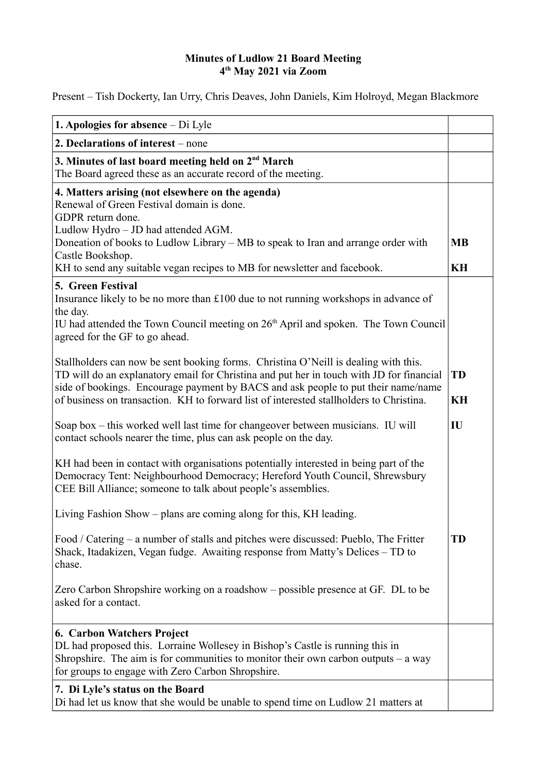## **Minutes of Ludlow 21 Board Meeting 4 th May 2021 via Zoom**

Present – Tish Dockerty, Ian Urry, Chris Deaves, John Daniels, Kim Holroyd, Megan Blackmore

| <b>1. Apologies for absence</b> $-$ Di Lyle                                                                                                                                                                                                                                                                                                                     |                 |
|-----------------------------------------------------------------------------------------------------------------------------------------------------------------------------------------------------------------------------------------------------------------------------------------------------------------------------------------------------------------|-----------------|
| 2. Declarations of interest – none                                                                                                                                                                                                                                                                                                                              |                 |
| 3. Minutes of last board meeting held on 2 <sup>nd</sup> March<br>The Board agreed these as an accurate record of the meeting.                                                                                                                                                                                                                                  |                 |
| 4. Matters arising (not elsewhere on the agenda)<br>Renewal of Green Festival domain is done.<br>GDPR return done.<br>Ludlow Hydro - JD had attended AGM.<br>Doneation of books to Ludlow Library - MB to speak to Iran and arrange order with<br>Castle Bookshop.<br>KH to send any suitable vegan recipes to MB for newsletter and facebook.                  | <b>MB</b><br>KH |
| 5. Green Festival<br>Insurance likely to be no more than £100 due to not running workshops in advance of<br>the day.<br>IU had attended the Town Council meeting on 26 <sup>th</sup> April and spoken. The Town Council<br>agreed for the GF to go ahead.                                                                                                       |                 |
| Stallholders can now be sent booking forms. Christina O'Neill is dealing with this.<br>TD will do an explanatory email for Christina and put her in touch with JD for financial<br>side of bookings. Encourage payment by BACS and ask people to put their name/name<br>of business on transaction. KH to forward list of interested stallholders to Christina. | <b>TD</b><br>KH |
| Soap box – this worked well last time for changeover between musicians. IU will<br>contact schools nearer the time, plus can ask people on the day.                                                                                                                                                                                                             | IU              |
| KH had been in contact with organisations potentially interested in being part of the<br>Democracy Tent: Neighbourhood Democracy; Hereford Youth Council, Shrewsbury<br>CEE Bill Alliance; someone to talk about people's assemblies.                                                                                                                           |                 |
| Living Fashion Show – plans are coming along for this, KH leading.                                                                                                                                                                                                                                                                                              |                 |
| Food / Catering – a number of stalls and pitches were discussed: Pueblo, The Fritter<br>Shack, Itadakizen, Vegan fudge. Awaiting response from Matty's Delices – TD to<br>chase.                                                                                                                                                                                | <b>TD</b>       |
| Zero Carbon Shropshire working on a roadshow – possible presence at GF. DL to be<br>asked for a contact.                                                                                                                                                                                                                                                        |                 |
| <b>6. Carbon Watchers Project</b><br>DL had proposed this. Lorraine Wollesey in Bishop's Castle is running this in<br>Shropshire. The aim is for communities to monitor their own carbon outputs $-$ a way<br>for groups to engage with Zero Carbon Shropshire.                                                                                                 |                 |
| 7. Di Lyle's status on the Board<br>Di had let us know that she would be unable to spend time on Ludlow 21 matters at                                                                                                                                                                                                                                           |                 |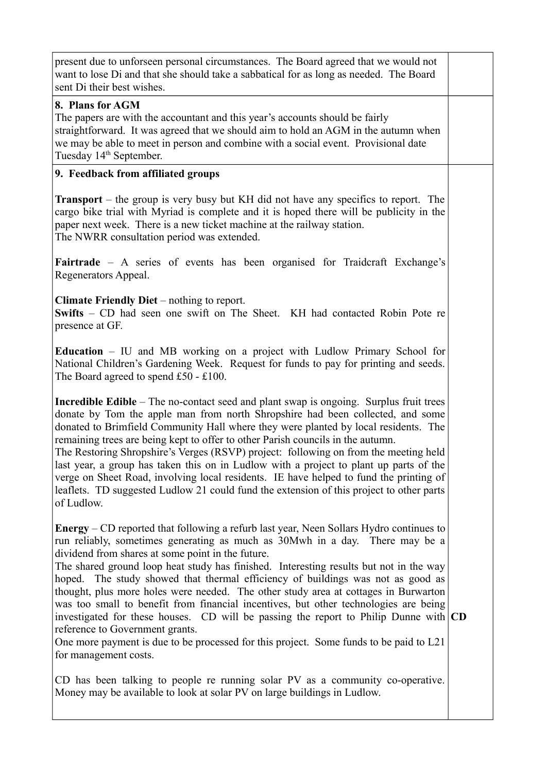| present due to unforseen personal circumstances. The Board agreed that we would not<br>want to lose Di and that she should take a sabbatical for as long as needed. The Board<br>sent Di their best wishes.                                                                                                                                                                                                                                                                                                                                                                                                                                                                                                                                                                                                                                       |  |
|---------------------------------------------------------------------------------------------------------------------------------------------------------------------------------------------------------------------------------------------------------------------------------------------------------------------------------------------------------------------------------------------------------------------------------------------------------------------------------------------------------------------------------------------------------------------------------------------------------------------------------------------------------------------------------------------------------------------------------------------------------------------------------------------------------------------------------------------------|--|
| 8. Plans for AGM<br>The papers are with the accountant and this year's accounts should be fairly<br>straightforward. It was agreed that we should aim to hold an AGM in the autumn when<br>we may be able to meet in person and combine with a social event. Provisional date<br>Tuesday 14 <sup>th</sup> September.                                                                                                                                                                                                                                                                                                                                                                                                                                                                                                                              |  |
| 9. Feedback from affiliated groups                                                                                                                                                                                                                                                                                                                                                                                                                                                                                                                                                                                                                                                                                                                                                                                                                |  |
| <b>Transport</b> – the group is very busy but KH did not have any specifics to report. The<br>cargo bike trial with Myriad is complete and it is hoped there will be publicity in the<br>paper next week. There is a new ticket machine at the railway station.<br>The NWRR consultation period was extended.                                                                                                                                                                                                                                                                                                                                                                                                                                                                                                                                     |  |
| <b>Fairtrade</b> – A series of events has been organised for Traidcraft Exchange's<br>Regenerators Appeal.                                                                                                                                                                                                                                                                                                                                                                                                                                                                                                                                                                                                                                                                                                                                        |  |
| Climate Friendly Diet – nothing to report.<br><b>Swifts</b> – CD had seen one swift on The Sheet. KH had contacted Robin Pote re<br>presence at GF.                                                                                                                                                                                                                                                                                                                                                                                                                                                                                                                                                                                                                                                                                               |  |
| <b>Education</b> – IU and MB working on a project with Ludlow Primary School for<br>National Children's Gardening Week. Request for funds to pay for printing and seeds.<br>The Board agreed to spend $£50 - £100$ .                                                                                                                                                                                                                                                                                                                                                                                                                                                                                                                                                                                                                              |  |
| <b>Incredible Edible</b> – The no-contact seed and plant swap is ongoing. Surplus fruit trees<br>donate by Tom the apple man from north Shropshire had been collected, and some<br>donated to Brimfield Community Hall where they were planted by local residents. The<br>remaining trees are being kept to offer to other Parish councils in the autumn.<br>The Restoring Shropshire's Verges (RSVP) project: following on from the meeting held<br>last year, a group has taken this on in Ludlow with a project to plant up parts of the<br>verge on Sheet Road, involving local residents. IE have helped to fund the printing of<br>leaflets. TD suggested Ludlow 21 could fund the extension of this project to other parts<br>of Ludlow.                                                                                                   |  |
| <b>Energy</b> – CD reported that following a refurb last year, Neen Sollars Hydro continues to<br>run reliably, sometimes generating as much as 30Mwh in a day. There may be a<br>dividend from shares at some point in the future.<br>The shared ground loop heat study has finished. Interesting results but not in the way<br>hoped. The study showed that thermal efficiency of buildings was not as good as<br>thought, plus more holes were needed. The other study area at cottages in Burwarton<br>was too small to benefit from financial incentives, but other technologies are being<br>investigated for these houses. CD will be passing the report to Philip Dunne with $ CD $<br>reference to Government grants.<br>One more payment is due to be processed for this project. Some funds to be paid to L21<br>for management costs. |  |
| CD has been talking to people re running solar PV as a community co-operative.<br>Money may be available to look at solar PV on large buildings in Ludlow.                                                                                                                                                                                                                                                                                                                                                                                                                                                                                                                                                                                                                                                                                        |  |